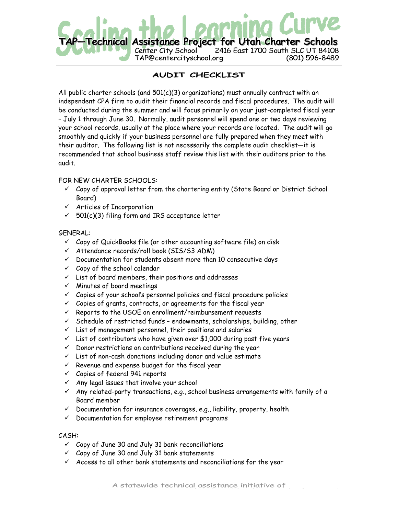

# AUDIT CHECKLIST

All public charter schools (and  $501(c)(3)$  organizations) must annually contract with an independent CPA firm to audit their financial records and fiscal procedures. The audit will be conducted during the summer and will focus primarily on your just-completed fiscal year – July 1 through June 30. Normally, audit personnel will spend one or two days reviewing your school records, usually at the place where your records are located. The audit will go smoothly and quickly if your business personnel are fully prepared when they meet with their auditor. The following list is not necessarily the complete audit checklist—it is recommended that school business staff review this list with their auditors prior to the audit.

## FOR NEW CHARTER SCHOOLS:

- $\checkmark$  Copy of approval letter from the chartering entity (State Board or District School Board)
- $\checkmark$  Articles of Incorporation
- $\checkmark$  501(c)(3) filing form and IRS acceptance letter

## GENERAL:

- $\checkmark$  Copy of QuickBooks file (or other accounting software file) on disk
- Attendance records/roll book (SIS/S3 ADM)
- $\checkmark$  Documentation for students absent more than 10 consecutive days
- $\checkmark$  Copy of the school calendar
- $\checkmark$  List of board members, their positions and addresses
- $\times$  Minutes of board meetings
- $\checkmark$  Copies of your school's personnel policies and fiscal procedure policies
- $\checkmark$  Copies of grants, contracts, or agreements for the fiscal year
- $\checkmark$  Reports to the USOE on enrollment/reimbursement requests
- $\checkmark$  Schedule of restricted funds endowments, scholarships, building, other
- $\checkmark$  List of management personnel, their positions and salaries
- $\checkmark$  List of contributors who have given over \$1,000 during past five years
- $\checkmark$  Donor restrictions on contributions received during the year
- $\checkmark$  List of non-cash donations including donor and value estimate
- $\checkmark$  Revenue and expense budget for the fiscal year
- $\checkmark$  Copies of federal 941 reports
- $\checkmark$  Any legal issues that involve your school
- $\checkmark$  Any related-party transactions, e.g., school business arrangements with family of a Board member
- $\checkmark$  Documentation for insurance coverages, e.g., liability, property, health
- $\checkmark$  Documentation for employee retirement programs

## CASH:

- $\checkmark$  Copy of June 30 and July 31 bank reconciliations
- $\checkmark$  Copy of June 30 and July 31 bank statements
- $\checkmark$  Access to all other bank statements and reconciliations for the year